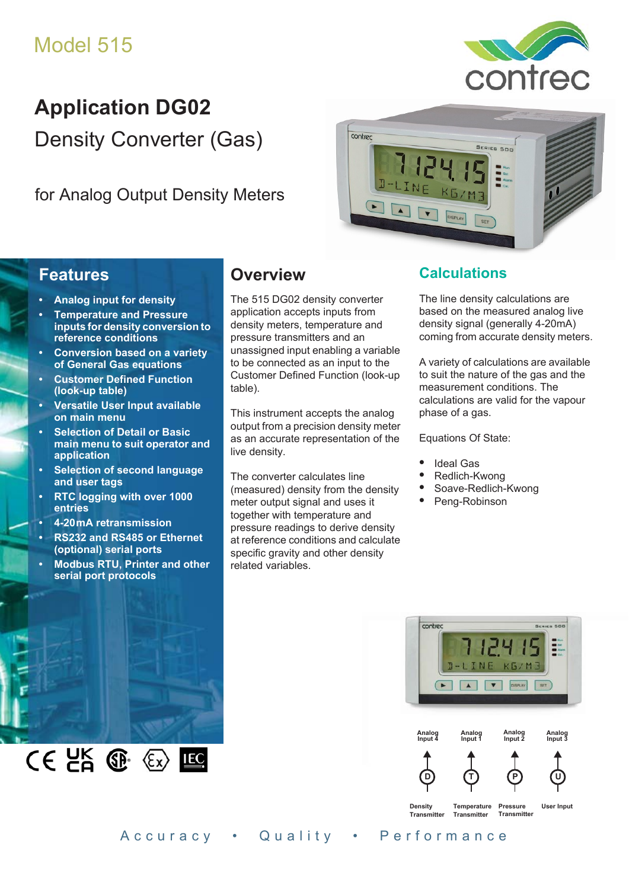# Model 515



# **Application DG02** Density Converter (Gas)

for Analog Output Density Meters



## **Features**

- **Analog input for density**
- **Temperature and Pressure inputs for density conversion to reference conditions**
- **Conversion based on a variety of General Gas equations**
- **Customer Defined Function (look-up table)**
- **Versatile User Input available on main menu**
- **Selection of Detail or Basic main menu to suit operator and application**
- **Selection of second language and user tags**
- **RTC logging with over 1000 entries**
- **4-20 mA retransmission**
- **RS232 and RS485 or Ethernet (optional) serial ports**
- **Modbus RTU, Printer and other serial port protocols**

 $CE$   $E$   $E$   $E$   $E$ 

## **Overview**

The 515 DG02 density converter application accepts inputs from density meters, temperature and pressure transmitters and an unassigned input enabling a variable to be connected as an input to the Customer Defined Function (look-up table).

This instrument accepts the analog output from a precision density meter as an accurate representation of the live density.

The converter calculates line (measured) density from the density meter output signal and uses it together with temperature and pressure readings to derive density at reference conditions and calculate specific gravity and other density related variables.

## **Calculations**

The line density calculations are based on the measured analog live density signal (generally 4-20mA) coming from accurate density meters.

A variety of calculations are available to suit the nature of the gas and the measurement conditions. The calculations are valid for the vapour phase of a gas.

Equations Of State:

- **•** Ideal Gas
- **•** Redlich-Kwong
- **•** Soave-Redlich-Kwong
- **•** Peng-Robinson



Accuracy • Quality • Performance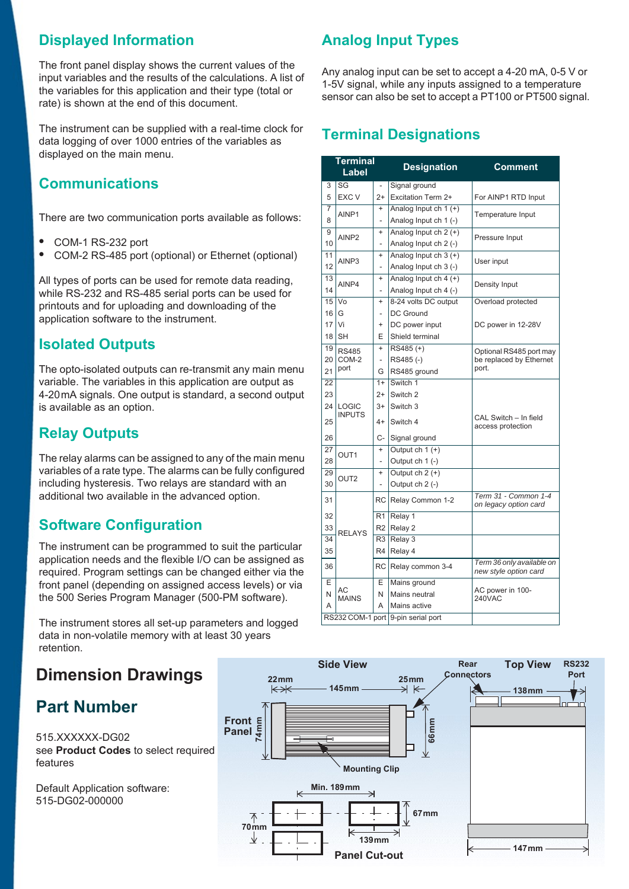## **Displayed Information**

The front panel display shows the current values of the input variables and the results of the calculations. A list of the variables for this application and their type (total or rate) is shown at the end of this document.

The instrument can be supplied with a real-time clock for data logging of over 1000 entries of the variables as displayed on the main menu.

### **Communications**

There are two communication ports available as follows:

- COM-1 RS-232 port<br>• COM 2 PS 485 port
- **•** COM-2 RS-485 port (optional) or Ethernet (optional)

All types of ports can be used for remote data reading, while RS-232 and RS-485 serial ports can be used for printouts and for uploading and downloading of the application software to the instrument.

### **Isolated Outputs**

The opto-isolated outputs can re-transmit any main menu variable. The variables in this application are output as 4-20 mA signals. One output is standard, a second output is available as an option.

### **Relay Outputs**

The relay alarms can be assigned to any of the main menu variables of a rate type. The alarms can be fully configured including hysteresis. Two relays are standard with an additional two available in the advanced option.

### **Software Configuration**

The instrument can be programmed to suit the particular application needs and the flexible I/O can be assigned as required. Program settings can be changed either via the front panel (depending on assigned access levels) or via the 500 Series Program Manager (500-PM software).

The instrument stores all set-up parameters and logged data in non-volatile memory with at least 30 years retention.

## **Dimension Drawings**

## **Part Number**

515.XXXXXX-DG02 see **[Product Codes](#page-3-0)** to select required features

Default Application software: 515-DG02-000000

## **Analog Input Types**

Any analog input can be set to accept a 4-20 mA, 0-5 V or 1-5V signal, while any inputs assigned to a temperature sensor can also be set to accept a PT100 or PT500 signal.

## **Terminal Designations**

|                 | <b>Terminal</b><br>Label |                          | <b>Designation</b>                 | <b>Comment</b>                                     |
|-----------------|--------------------------|--------------------------|------------------------------------|----------------------------------------------------|
| 3               | SG                       |                          | Signal ground                      |                                                    |
| 5               | <b>EXC V</b>             | $2+$                     | Excitation Term 2+                 | For AINP1 RTD Input                                |
| 7               | AINP1                    | $\ddot{}$                | Analog Input ch 1 (+)              | Temperature Input                                  |
| 8               |                          | L,                       | Analog Input ch 1 (-)              |                                                    |
| 9               | AINP <sub>2</sub>        | $\ddot{}$                | Analog Input $ch 2 (+)$            | Pressure Input                                     |
| 10              |                          | L,                       | Analog Input ch 2 (-)              |                                                    |
| 11              | AINP3                    | $\ddot{}$                | Analog Input ch 3 (+)              | User input                                         |
| 12              |                          | $\overline{a}$           | Analog Input ch 3 (-)              |                                                    |
| 13              | AINP4                    | $\ddot{}$                | Analog Input ch $4 (+)$            | Density Input                                      |
| 14              |                          | $\overline{a}$           | Analog Input ch 4 (-)              |                                                    |
| 15              | Vo                       | $\ddot{}$                | 8-24 volts DC output               | Overload protected                                 |
| 16              | G                        | $\overline{\phantom{0}}$ | DC Ground                          |                                                    |
| 17              | Vi                       | $\ddot{}$                | DC power input                     | DC power in 12-28V                                 |
| 18              | <b>SH</b>                | Е                        | Shield terminal                    |                                                    |
| 19              | <b>RS485</b>             | $\ddot{}$                | RS485 (+)                          | Optional RS485 port may                            |
| 20              | COM-2                    | L,                       | RS485(-)                           | be replaced by Ethernet                            |
| 21              | port                     | G                        | RS485 ground                       | port.                                              |
| 22              |                          | $1+$                     | Switch 1                           |                                                    |
| 23              |                          | $2+$                     | Switch <sub>2</sub>                |                                                    |
| 24              | LOGIC                    | $3+$                     | Switch 3                           |                                                    |
| 25              | <b>INPUTS</b>            | $4+$                     | Switch 4                           | CAL Switch - In field<br>access protection         |
| 26              |                          | C-                       | Signal ground                      |                                                    |
| 27              | OUT <sub>1</sub>         | $\ddot{}$                | Output ch $1 (+)$                  |                                                    |
| 28              |                          | $\overline{a}$           | Output ch 1 (-)                    |                                                    |
| 29              | OUT <sub>2</sub>         | $\ddot{}$                | Output $ch 2 (+)$                  |                                                    |
| 30              |                          | $\overline{a}$           | Output ch 2 (-)                    |                                                    |
| 31              |                          | RC                       | Relay Common 1-2                   | Term 31 - Common 1-4<br>on legacy option card      |
| 32              |                          | R1                       | Relay 1                            |                                                    |
| 33              |                          | R <sub>2</sub>           | Relay 2                            |                                                    |
| $3\overline{4}$ | <b>RELAYS</b>            | R <sub>3</sub>           | Relay 3                            |                                                    |
| 35              |                          | R <sub>4</sub>           | Relay 4                            |                                                    |
| 36              |                          | <b>RC</b>                | Relay common 3-4                   | Term 36 only available on<br>new style option card |
| E               |                          | E                        | Mains ground                       |                                                    |
| N               | AC<br><b>MAINS</b>       | N                        | Mains neutral                      | AC power in 100-<br>240VAC                         |
| Α               |                          | A                        | Mains active                       |                                                    |
|                 |                          |                          | RS232 COM-1 port 9-pin serial port |                                                    |

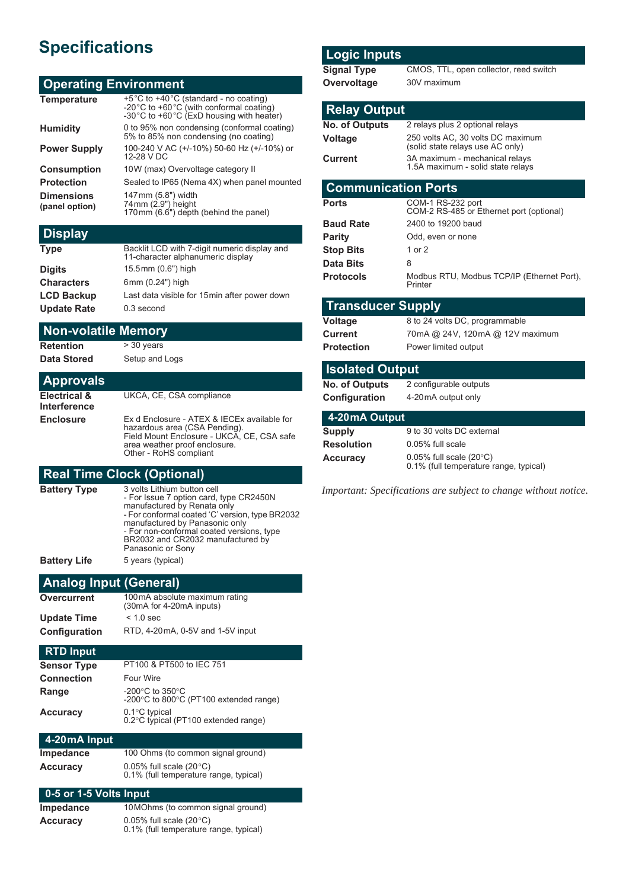## **Specifications**

#### **Operating Environment**

| +5°C to +40°C (standard - no coating)<br>-20°C to +60°C (with conformal coating)<br>-30°C to +60°C (ExD housing with heater) |
|------------------------------------------------------------------------------------------------------------------------------|
| 0 to 95% non condensing (conformal coating)<br>5% to 85% non condensing (no coating)                                         |
| 100-240 V AC (+/-10%) 50-60 Hz (+/-10%) or<br>12-28 V DC                                                                     |
| 10W (max) Overvoltage category II                                                                                            |
| Sealed to IP65 (Nema 4X) when panel mounted                                                                                  |
| 147 mm (5.8") width<br>74 mm (2.9") height<br>170 mm (6.6") depth (behind the panel)                                         |
|                                                                                                                              |

| <b>Display</b> |  |
|----------------|--|
|                |  |

| <b>Type</b>        | Backlit LCD with 7-digit numeric display and<br>11-character alphanumeric display |
|--------------------|-----------------------------------------------------------------------------------|
| <b>Digits</b>      | 15.5mm (0.6") high                                                                |
| <b>Characters</b>  | 6mm (0.24") high                                                                  |
| <b>LCD Backup</b>  | Last data visible for 15 min after power down                                     |
| <b>Update Rate</b> | 0.3 second                                                                        |
|                    |                                                                                   |

#### **Non-volatile Memory**

**Retention** > 30 years **Data Stored** Setup and Logs

| <b>Approvals</b> |  |
|------------------|--|

**Electrical & Interference** UKCA, CE, CSA compliance **Enclosure** Ex d Enclosure - ATEX & IECEx available for hazardous area (CSA Pending). Field Mount Enclosure - UKCA, CE, CSA safe

area weather proof enclosure. Other - RoHS compliant

## **Real Time Clock (Optional)**

| <b>Battery Type</b> | 3 volts Lithium button cell<br>- For Issue 7 option card, type CR2450N<br>manufactured by Renata only<br>- For conformal coated 'C' version, type BR2032<br>manufactured by Panasonic only<br>- For non-conformal coated versions, type<br>BR2032 and CR2032 manufactured by<br>Panasonic or Sony |
|---------------------|---------------------------------------------------------------------------------------------------------------------------------------------------------------------------------------------------------------------------------------------------------------------------------------------------|
| <b>Battery Life</b> | 5 years (typical)                                                                                                                                                                                                                                                                                 |
|                     |                                                                                                                                                                                                                                                                                                   |

#### **Analog Input (General)**

| Overcurrent   | 100mA absolute maximum rating<br>(30mA for 4-20mA inputs) |
|---------------|-----------------------------------------------------------|
| Update Time   | $< 1.0$ sec                                               |
| Configuration | RTD, 4-20mA, 0-5V and 1-5V input                          |

#### **RTD Input**

| PT100 & PT500 to IEC 751                                                        |
|---------------------------------------------------------------------------------|
| Four Wire                                                                       |
| -200 $^{\circ}$ C to 350 $^{\circ}$ C<br>-200°C to 800°C (PT100 extended range) |
| $0.1^{\circ}$ C typical<br>0.2°C typical (PT100 extended range)                 |
|                                                                                 |

#### **4-20 mA Input**

| Impedance | 100 Ohms (to common signal ground)                                         |
|-----------|----------------------------------------------------------------------------|
| Accuracv  | 0.05% full scale $(20^{\circ}C)$<br>0.1% (full temperature range, typical) |

#### **0-5 or 1-5 Volts Input**

| Impedance | 10 MOhms (to common signal ground)                                         |
|-----------|----------------------------------------------------------------------------|
| Accuracy  | 0.05% full scale $(20^{\circ}C)$<br>0.1% (full temperature range, typical) |

#### **Logic Inputs**

**Signal Type** CMOS, TTL, open collector, reed switch **Overvoltage** 30V maximum

#### **Relay Output**

| <b>No. of Outputs</b> | 2 relays plus 2 optional relays                                       |
|-----------------------|-----------------------------------------------------------------------|
| Voltage               | 250 volts AC, 30 volts DC maximum<br>(solid state relays use AC only) |
| Current               | 3A maximum - mechanical relays<br>1.5A maximum - solid state relays   |

#### **Communication Ports**

| COM-1 RS-232 port<br>COM-2 RS-485 or Ethernet port (optional) |
|---------------------------------------------------------------|
| 2400 to 19200 baud                                            |
| Odd, even or none                                             |
| 1 or $2$                                                      |
| 8                                                             |
| Modbus RTU, Modbus TCP/IP (Ethernet Port),<br>Printer         |
|                                                               |

#### **Transducer Supply**

**Voltage** 8 to 24 volts DC, programmable **Current** 70mA @ 24V, 120mA @ 12V maximum **Protection** Power limited output

# **Isolated Output**

**No. of Outputs** 2 configurable outputs **Configurat** 

| Configuration                 | 4-20 mA output only |
|-------------------------------|---------------------|
| $\pm 20 \,\mathrm{mA}$ Output |                     |

| $\mathbf{r}$ avenue verport |                                                                                |
|-----------------------------|--------------------------------------------------------------------------------|
| <b>Supply</b>               | 9 to 30 volts DC external                                                      |
| <b>Resolution</b>           | 0.05% full scale                                                               |
| <b>Accuracy</b>             | $0.05\%$ full scale (20 $\degree$ C)<br>0.1% (full temperature range, typical) |

*Important: Specifications are subject to change without notice.*